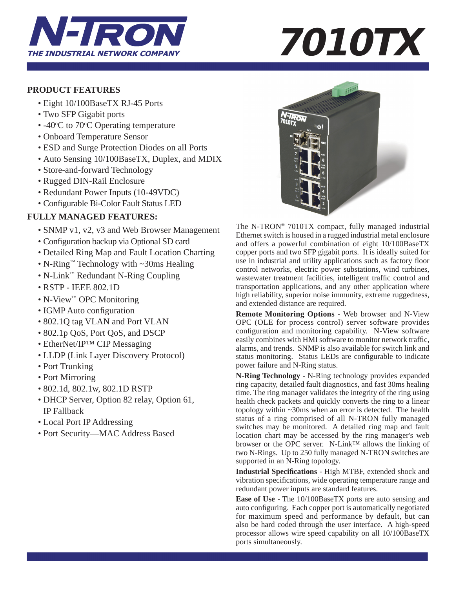

# **PRODUCT FEATURES**

- Eight 10/100BaseTX RJ-45 Ports
- Two SFP Gigabit ports
- $-40^{\circ}$ C to 70 $^{\circ}$ C Operating temperature
	- Onboard Temperature Sensor
	- ESD and Surge Protection Diodes on all Ports
	- Auto Sensing 10/100BaseTX, Duplex, and MDIX
	- Store-and-forward Technology
	- Rugged DIN-Rail Enclosure
	- Redundant Power Inputs (10-49VDC)
	- Configurable Bi-Color Fault Status LED

# **FULLY MANAGED FEATURES:**

- SNMP v1, v2, v3 and Web Browser Management
- Configuration backup via Optional SD card
- Detailed Ring Map and Fault Location Charting
- N-Ring™ Technology with ~30ms Healing
- N-Link™ Redundant N-Ring Coupling
- RSTP IEEE 802.1D
- N-View™ OPC Monitoring
- IGMP Auto configuration
- 802.1Q tag VLAN and Port VLAN
- 802.1p QoS, Port QoS, and DSCP
- EtherNet/IP<sup>TM</sup> CIP Messaging
- LLDP (Link Layer Discovery Protocol)
- Port Trunking
- Port Mirroring
- 802.1d, 802.1w, 802.1D RSTP
- DHCP Server, Option 82 relay, Option 61, IP Fallback
- Local Port IP Addressing
- Port Security—MAC Address Based



The N-TRON® 7010TX compact, fully managed industrial Ethernet switch is housed in a rugged industrial metal enclosure and offers a powerful combination of eight 10/100BaseTX copper ports and two SFP gigabit ports. It is ideally suited for use in industrial and utility applications such as factory floor control networks, electric power substations, wind turbines, wastewater treatment facilities, intelligent traffic control and transportation applications, and any other application where high reliability, superior noise immunity, extreme ruggedness, and extended distance are required.

**Remote Monitoring Options** - Web browser and N-View OPC (OLE for process control) server software provides configuration and monitoring capability. N-View software easily combines with HMI software to monitor network traffic, alarms, and trends. SNMP is also available for switch link and status monitoring. Status LEDs are configurable to indicate power failure and N-Ring status.

**N-Ring Technology** - N-Ring technology provides expanded ring capacity, detailed fault diagnostics, and fast 30ms healing time. The ring manager validates the integrity of the ring using health check packets and quickly converts the ring to a linear topology within ~30ms when an error is detected. The health status of a ring comprised of all N-TRON fully managed switches may be monitored. A detailed ring map and fault location chart may be accessed by the ring manager's web browser or the OPC server. N-Link™ allows the linking of two N-Rings. Up to 250 fully managed N-TRON switches are supported in an N-Ring topology.

**Industrial Specifications** - High MTBF, extended shock and vibration specifications, wide operating temperature range and redundant power inputs are standard features.

**Ease of Use** - The 10/100BaseTX ports are auto sensing and auto configuring. Each copper port is automatically negotiated for maximum speed and performance by default, but can also be hard coded through the user interface. A high-speed processor allows wire speed capability on all 10/100BaseTX ports simultaneously.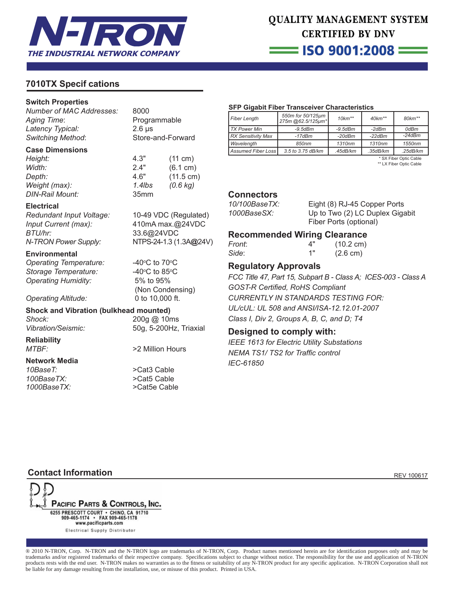

# QUALITY MANAGEMENT SYSTEM **CERTIFIED BY DNV**

 $=$  ISO 9001:2008  $=$ 

# **7010TX Specif cations**

#### **Switch Properties**

*Number of MAC Addresses:* 8000 Aging Time: Programmable *Latency Typical:* 2.6 μs *Switching Method*: Store-and-Forward

#### **Case Dimensions**

*Height:* 4.3" (11 cm) *Width:* 2.4" (6.1 cm) *Depth:* 4.6" (11.5 cm) *Weight (max): 1.4lbs (0.6 kg) DIN-Rail Mount:* 35mm

#### **Electrical**

*Redundant Input Voltage:* 10-49 VDC (Regulated) *Input Current (max):* 410mA max.@24VDC *BTU/hr:* 33.6@24VDC *N-TRON Power Supply:* NTPS-24-1.3 (1.3A**@**24V)

#### **Environmental**

*Operating Temperature:* **Storage Temperature:** *Operating Humidity:* 5% to 95%

C to  $70^{\circ}$ C C to  $85^{\circ}$ C (Non Condensing) *Operating Altitude:* 0 to 10,000 ft.

### **Shock and Vibration (bulkhead mounted)**

*Shock:* 200g @ 10ms *Vibration/Seismic:* 50g, 5-200Hz, Triaxial

**Reliability**

#### **Network Media**

10BaseT:  $>$ Cat3 Cable *100BaseTX:* >Cat5 Cable

*MTBF:* >2 Million Hours

*1000BaseTX:* >Cat5e Cable

#### **SFP Gigabit Fiber Transceiver Characteristics**

| Fiber Length        | 550m for 50/125µm<br>275m @62.5/125um* | $10km**$      | $40$ km <sup>**</sup> | $80 km**$ |
|---------------------|----------------------------------------|---------------|-----------------------|-----------|
| <b>TX Power Min</b> | $-9.5$ d $Bm$                          | $-9.5$ d $Bm$ | $-2dBm$               | 0dBm      |
| RX Sensitivity Max  | $-17dBm$                               | $-20dBm$      | $-22dBm$              | $-24dBm$  |
| Wavelength          | 850nm                                  | 1310nm        | 1310nm                | 1550nm    |
| Assumed Fiber Loss  | 3.5 to 3.75 dB/km                      | .45dB/km      | .35dB/km              | .25dB/km  |

 \* SX Fiber Optic Cable \*\* LX Fiber Optic Cable

#### **Connectors**

*10/100BaseTX:* Eight (8) RJ-45 Copper Ports *1000BaseSX:* Up to Two (2) LC Duplex Gigabit Fiber Ports (optional)

### **Recommended Wiring Clearance**

| Front: | 4" | $(10.2 \text{ cm})$ |
|--------|----|---------------------|
| Side:  | 1" | $(2.6 \text{ cm})$  |

# **Regulatory Approvals**

*FCC Title 47, Part 15, Subpart B - Class A; ICES-003 - Class A* **GOST-R Certified, RoHS Compliant** *CURRENTLY IN STANDARDS TESTING FOR: UL/cUL: UL 508 and ANSI/ISA-12.12.01-2007 Class I, Div 2, Groups A, B, C, and D; T4*

## **Designed to comply with:**

*IEEE 1613 for Electric Utility Substations* **NEMA TS1/ TS2 for Traffic control** *IEC-61850*

# **Contact Information REV 100617**

PACIFIC PARTS & CONTROLS, INC. 6255 PRESCOTT COURT · CHINO, CA 91710 909-465-1174 · FAX 909-465-1178 www.pacificparts.com Electrical Supply Distributor

® 2010 N-TRON, Corp. N-TRON and the N-TRON logo are trademarks of N-TRON, Corp. Product names mentioned herein are for identifi cation purposes only and may be trademarks and/or registered trademarks of their respective company. Specifications subject to change without notice. The responsibility for the use and application of N-TRON products rests with the end user. N-TRON makes no warranties as to the fitness or suitability of any N-TRON product for any specific application. N-TRON Corporation shall not be liable for any damage resulting from the installation, use, or misuse of this product. Printed in USA.